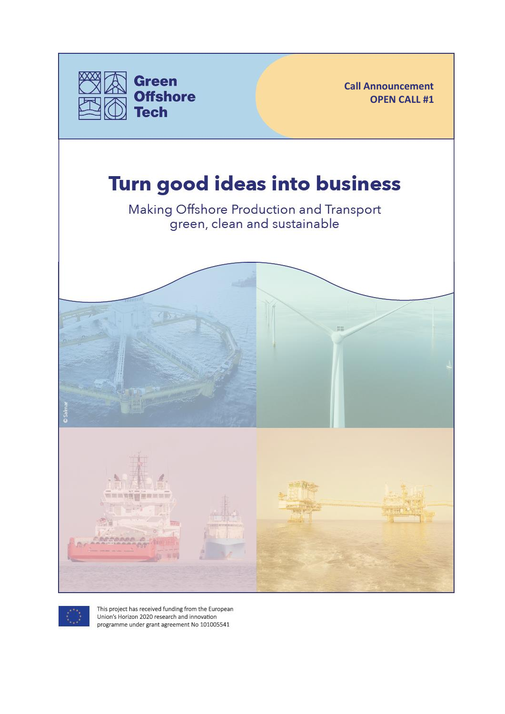

**Call Announcement OPEN CALL #1**

# Turn good ideas into business

Making Offshore Production and Transport green, clean and sustainable





This project has received funding from the European Union's Horizon 2020 research and innovation programme under grant agreement No 101005541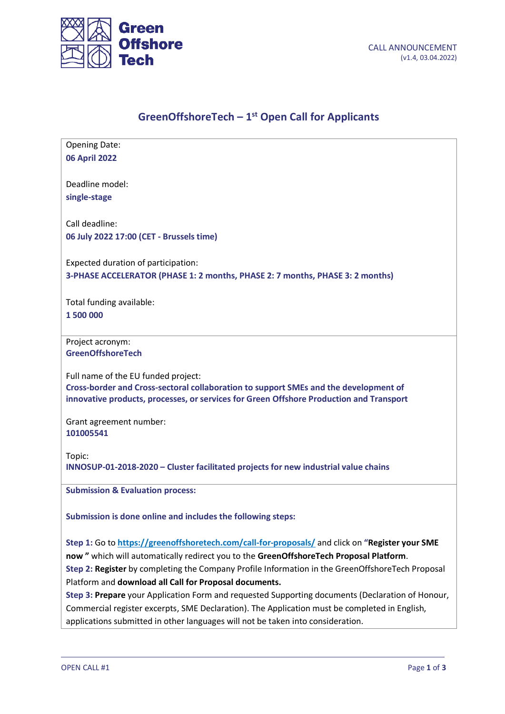

٦

# **GreenOffshoreTech – 1 st Open Call for Applicants**

| <b>Opening Date:</b><br><b>06 April 2022</b>                                                                                                                                    |
|---------------------------------------------------------------------------------------------------------------------------------------------------------------------------------|
| Deadline model:                                                                                                                                                                 |
| single-stage                                                                                                                                                                    |
| Call deadline:                                                                                                                                                                  |
| 06 July 2022 17:00 (CET - Brussels time)                                                                                                                                        |
| Expected duration of participation:                                                                                                                                             |
| 3-PHASE ACCELERATOR (PHASE 1: 2 months, PHASE 2: 7 months, PHASE 3: 2 months)                                                                                                   |
| Total funding available:                                                                                                                                                        |
| 1500000                                                                                                                                                                         |
| Project acronym:                                                                                                                                                                |
| <b>GreenOffshoreTech</b>                                                                                                                                                        |
| Full name of the EU funded project:                                                                                                                                             |
| Cross-border and Cross-sectoral collaboration to support SMEs and the development of<br>innovative products, processes, or services for Green Offshore Production and Transport |
| Grant agreement number:<br>101005541                                                                                                                                            |
| Topic:                                                                                                                                                                          |
| INNOSUP-01-2018-2020 - Cluster facilitated projects for new industrial value chains                                                                                             |
| <b>Submission &amp; Evaluation process:</b>                                                                                                                                     |
| Submission is done online and includes the following steps:                                                                                                                     |
| Step 1: Go to https://greenoffshoretech.com/call-for-proposals/ and click on "Register your SME                                                                                 |
| now" which will automatically redirect you to the GreenOffshoreTech Proposal Platform.                                                                                          |
| Step 2: Register by completing the Company Profile Information in the GreenOffshoreTech Proposal                                                                                |
| Platform and download all Call for Proposal documents.                                                                                                                          |
| Step 3: Prepare your Application Form and requested Supporting documents (Declaration of Honour,                                                                                |
| Commercial register excerpts, SME Declaration). The Application must be completed in English,                                                                                   |
| applications submitted in other languages will not be taken into consideration.                                                                                                 |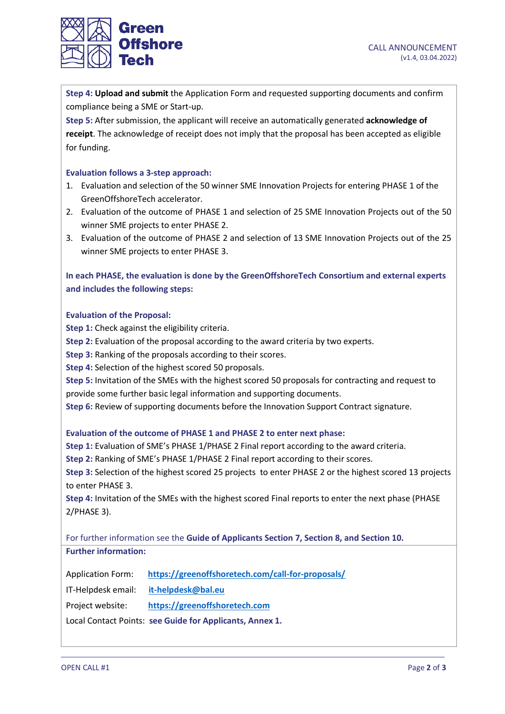

**Step 4: Upload and submit** the Application Form and requested supporting documents and confirm compliance being a SME or Start-up.

**Step 5:** After submission, the applicant will receive an automatically generated **acknowledge of receipt**. The acknowledge of receipt does not imply that the proposal has been accepted as eligible for funding.

# **Evaluation follows a 3-step approach:**

- 1. Evaluation and selection of the 50 winner SME Innovation Projects for entering PHASE 1 of the GreenOffshoreTech accelerator.
- 2. Evaluation of the outcome of PHASE 1 and selection of 25 SME Innovation Projects out of the 50 winner SME projects to enter PHASE 2.
- 3. Evaluation of the outcome of PHASE 2 and selection of 13 SME Innovation Projects out of the 25 winner SME projects to enter PHASE 3.

**In each PHASE, the evaluation is done by the GreenOffshoreTech Consortium and external experts and includes the following steps:**

#### **Evaluation of the Proposal:**

**Step 1:** Check against the eligibility criteria.

**Step 2:** Evaluation of the proposal according to the award criteria by two experts.

**Step 3:** Ranking of the proposals according to their scores.

**Step 4:** Selection of the highest scored 50 proposals.

**Step 5:** Invitation of the SMEs with the highest scored 50 proposals for contracting and request to provide some further basic legal information and supporting documents.

**Step 6:** Review of supporting documents before the Innovation Support Contract signature.

#### **Evaluation of the outcome of PHASE 1 and PHASE 2 to enter next phase:**

**Step 1:** Evaluation of SME's PHASE 1/PHASE 2 Final report according to the award criteria.

**Step 2:** Ranking of SME's PHASE 1/PHASE 2 Final report according to their scores.

**Step 3:** Selection of the highest scored 25 projects to enter PHASE 2 or the highest scored 13 projects to enter PHASE 3.

**Step 4:** Invitation of the SMEs with the highest scored Final reports to enter the next phase (PHASE 2/PHASE 3).

For further information see the **Guide of Applicants Section 7, Section 8, and Section 10. Further information:**

Application Form: **<https://greenoffshoretech.com/call-for-proposals/>**

IT-Helpdesk email: **[it-helpdesk@bal.eu](mailto:it-helpdesk@bal.eu)**

Project website: **[https://greenoffshoretech.com](https://greenoffshoretech.com/)**

Local Contact Points: **see Guide for Applicants, Annex 1.**